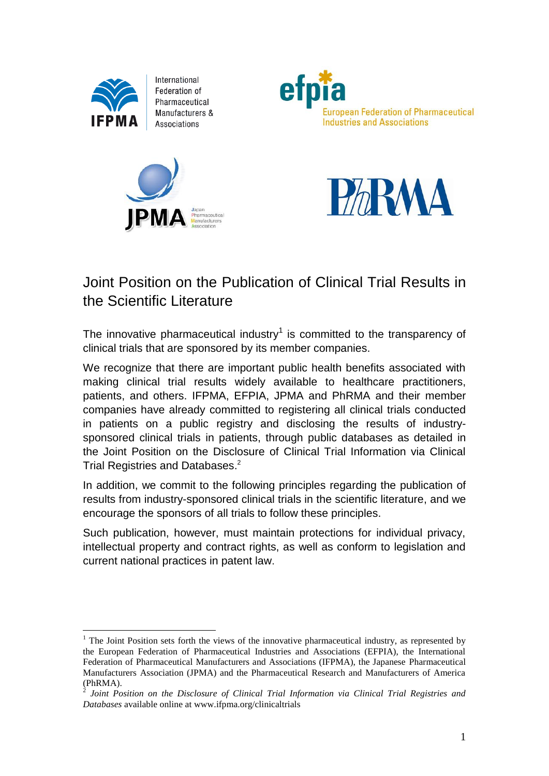

1

International Federation of Pharmaceutical Manufacturers & Associations







# Joint Position on the Publication of Clinical Trial Results in the Scientific Literature

The innovative pharmaceutical industry<sup>1</sup> is committed to the transparency of clinical trials that are sponsored by its member companies.

We recognize that there are important public health benefits associated with making clinical trial results widely available to healthcare practitioners, patients, and others. IFPMA, EFPIA, JPMA and PhRMA and their member companies have already committed to registering all clinical trials conducted in patients on a public registry and disclosing the results of industrysponsored clinical trials in patients, through public databases as detailed in the Joint Position on the Disclosure of Clinical Trial Information via Clinical Trial Registries and Databases. 2

In addition, we commit to the following principles regarding the publication of results from industry-sponsored clinical trials in the scientific literature, and we encourage the sponsors of all trials to follow these principles.

Such publication, however, must maintain protections for individual privacy, intellectual property and contract rights, as well as conform to legislation and current national practices in patent law.

<sup>&</sup>lt;sup>1</sup> The Joint Position sets forth the views of the innovative pharmaceutical industry, as represented by the European Federation of Pharmaceutical Industries and Associations (EFPIA), the International Federation of Pharmaceutical Manufacturers and Associations (IFPMA), the Japanese Pharmaceutical Manufacturers Association (JPMA) and the Pharmaceutical Research and Manufacturers of America (PhRMA).

<sup>2</sup> *Joint Position on the Disclosure of Clinical Trial Information via Clinical Trial Registries and Databases* available online at www.ifpma.org/clinicaltrials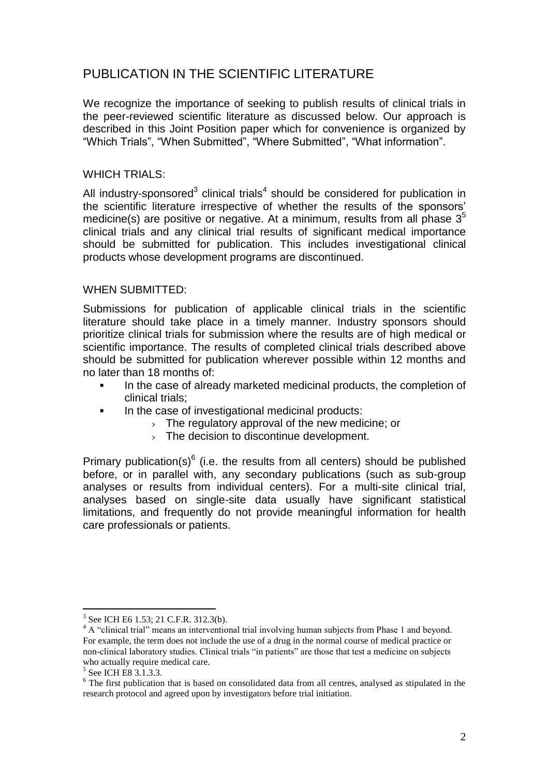# PUBLICATION IN THE SCIENTIFIC LITERATURE

We recognize the importance of seeking to publish results of clinical trials in the peer-reviewed scientific literature as discussed below. Our approach is described in this Joint Position paper which for convenience is organized by "Which Trials", "When Submitted", "Where Submitted", "What information".

#### WHICH TRIALS:

All industry-sponsored<sup>3</sup> clinical trials<sup>4</sup> should be considered for publication in the scientific literature irrespective of whether the results of the sponsors' medicine(s) are positive or negative. At a minimum, results from all phase  $3<sup>5</sup>$ clinical trials and any clinical trial results of significant medical importance should be submitted for publication. This includes investigational clinical products whose development programs are discontinued.

# WHEN SUBMITTED:

Submissions for publication of applicable clinical trials in the scientific literature should take place in a timely manner. Industry sponsors should prioritize clinical trials for submission where the results are of high medical or scientific importance. The results of completed clinical trials described above should be submitted for publication wherever possible within 12 months and no later than 18 months of:

- In the case of already marketed medicinal products, the completion of clinical trials;
- In the case of investigational medicinal products:
	- › The regulatory approval of the new medicine; or
	- $\rightarrow$  The decision to discontinue development.

Primary publication(s) $6$  (i.e. the results from all centers) should be published before, or in parallel with, any secondary publications (such as sub-group analyses or results from individual centers). For a multi-site clinical trial, analyses based on single-site data usually have significant statistical limitations, and frequently do not provide meaningful information for health care professionals or patients.

<sup>&</sup>lt;sup>3</sup> See ICH E6 1.53; 21 C.F.R. 312.3(b).

<sup>&</sup>lt;sup>4</sup> A "clinical trial" means an interventional trial involving human subjects from Phase 1 and beyond. For example, the term does not include the use of a drug in the normal course of medical practice or non-clinical laboratory studies. Clinical trials "in patients" are those that test a medicine on subjects who actually require medical care.

<sup>&</sup>lt;sup>5</sup> See ICH E8 3.1.3.3.

<sup>&</sup>lt;sup>6</sup> The first publication that is based on consolidated data from all centres, analysed as stipulated in the research protocol and agreed upon by investigators before trial initiation.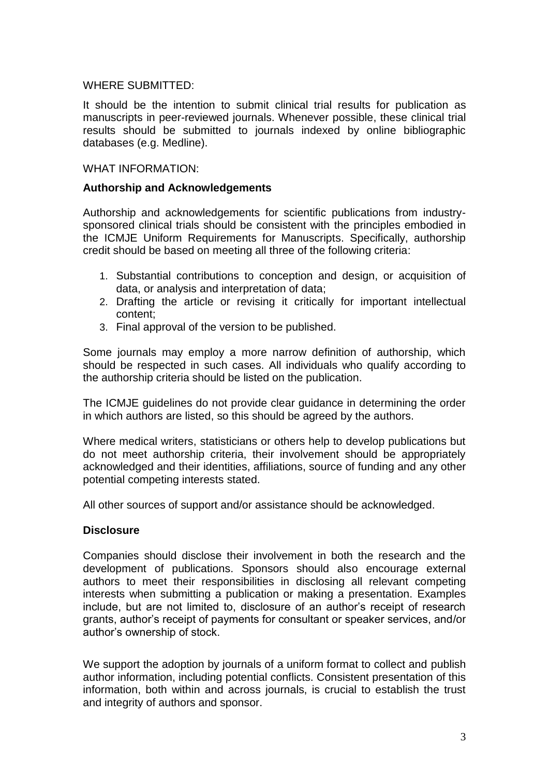#### WHERE SUBMITTED:

It should be the intention to submit clinical trial results for publication as manuscripts in peer-reviewed journals. Whenever possible, these clinical trial results should be submitted to journals indexed by online bibliographic databases (e.g. Medline).

#### WHAT INFORMATION:

#### **Authorship and Acknowledgements**

Authorship and acknowledgements for scientific publications from industrysponsored clinical trials should be consistent with the principles embodied in the ICMJE Uniform Requirements for Manuscripts. Specifically, authorship credit should be based on meeting all three of the following criteria:

- 1. Substantial contributions to conception and design, or acquisition of data, or analysis and interpretation of data;
- 2. Drafting the article or revising it critically for important intellectual content;
- 3. Final approval of the version to be published.

Some journals may employ a more narrow definition of authorship, which should be respected in such cases. All individuals who qualify according to the authorship criteria should be listed on the publication.

The ICMJE guidelines do not provide clear guidance in determining the order in which authors are listed, so this should be agreed by the authors.

Where medical writers, statisticians or others help to develop publications but do not meet authorship criteria, their involvement should be appropriately acknowledged and their identities, affiliations, source of funding and any other potential competing interests stated.

All other sources of support and/or assistance should be acknowledged.

#### **Disclosure**

Companies should disclose their involvement in both the research and the development of publications. Sponsors should also encourage external authors to meet their responsibilities in disclosing all relevant competing interests when submitting a publication or making a presentation. Examples include, but are not limited to, disclosure of an author's receipt of research grants, author's receipt of payments for consultant or speaker services, and/or author's ownership of stock.

We support the adoption by journals of a uniform format to collect and publish author information, including potential conflicts. Consistent presentation of this information, both within and across journals, is crucial to establish the trust and integrity of authors and sponsor.